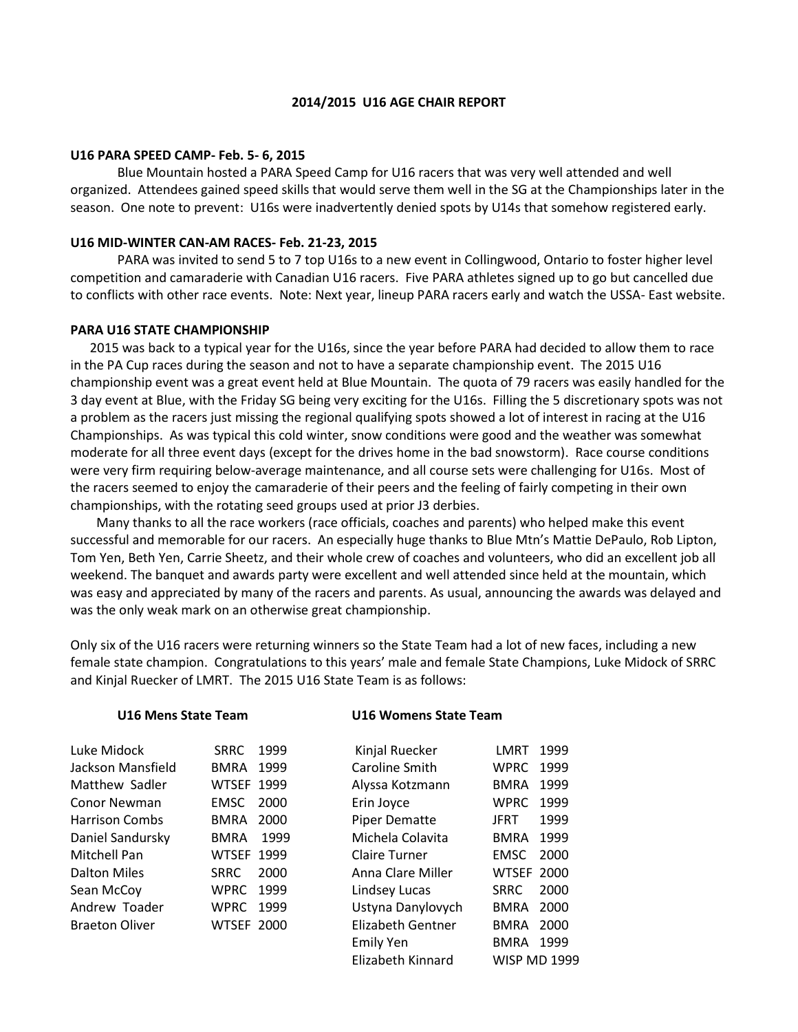## **2014/2015 U16 AGE CHAIR REPORT**

#### **U16 PARA SPEED CAMP- Feb. 5- 6, 2015**

Blue Mountain hosted a PARA Speed Camp for U16 racers that was very well attended and well organized. Attendees gained speed skills that would serve them well in the SG at the Championships later in the season. One note to prevent: U16s were inadvertently denied spots by U14s that somehow registered early.

## **U16 MID-WINTER CAN-AM RACES- Feb. 21-23, 2015**

PARA was invited to send 5 to 7 top U16s to a new event in Collingwood, Ontario to foster higher level competition and camaraderie with Canadian U16 racers. Five PARA athletes signed up to go but cancelled due to conflicts with other race events. Note: Next year, lineup PARA racers early and watch the USSA- East website.

#### **PARA U16 STATE CHAMPIONSHIP**

2015 was back to a typical year for the U16s, since the year before PARA had decided to allow them to race in the PA Cup races during the season and not to have a separate championship event. The 2015 U16 championship event was a great event held at Blue Mountain. The quota of 79 racers was easily handled for the 3 day event at Blue, with the Friday SG being very exciting for the U16s. Filling the 5 discretionary spots was not a problem as the racers just missing the regional qualifying spots showed a lot of interest in racing at the U16 Championships. As was typical this cold winter, snow conditions were good and the weather was somewhat moderate for all three event days (except for the drives home in the bad snowstorm). Race course conditions were very firm requiring below-average maintenance, and all course sets were challenging for U16s. Most of the racers seemed to enjoy the camaraderie of their peers and the feeling of fairly competing in their own championships, with the rotating seed groups used at prior J3 derbies.

 Many thanks to all the race workers (race officials, coaches and parents) who helped make this event successful and memorable for our racers. An especially huge thanks to Blue Mtn's Mattie DePaulo, Rob Lipton, Tom Yen, Beth Yen, Carrie Sheetz, and their whole crew of coaches and volunteers, who did an excellent job all weekend. The banquet and awards party were excellent and well attended since held at the mountain, which was easy and appreciated by many of the racers and parents. As usual, announcing the awards was delayed and was the only weak mark on an otherwise great championship.

Only six of the U16 racers were returning winners so the State Team had a lot of new faces, including a new female state champion. Congratulations to this years' male and female State Champions, Luke Midock of SRRC and Kinjal Ruecker of LMRT. The 2015 U16 State Team is as follows:

| U16 Mens State Team   |                   |      |                      | U16 Womens State Team |                     |  |
|-----------------------|-------------------|------|----------------------|-----------------------|---------------------|--|
| Luke Midock           | <b>SRRC</b>       | 1999 | Kinjal Ruecker       | LMRT.                 | 1999                |  |
| Jackson Mansfield     | BMRA              | 1999 | Caroline Smith       | <b>WPRC</b>           | 1999                |  |
| Matthew Sadler        | <b>WTSEF 1999</b> |      | Alyssa Kotzmann      | <b>BMRA</b>           | 1999                |  |
| Conor Newman          | <b>EMSC</b>       | 2000 | Erin Joyce           | WPRC                  | 1999                |  |
| <b>Harrison Combs</b> | BMRA              | 2000 | <b>Piper Dematte</b> | JFRT                  | 1999                |  |
| Daniel Sandursky      | <b>BMRA</b>       | 1999 | Michela Colavita     | BMRA                  | 1999                |  |
| Mitchell Pan          | <b>WTSEF 1999</b> |      | <b>Claire Turner</b> | EMSC                  | 2000                |  |
| Dalton Miles          | <b>SRRC</b>       | 2000 | Anna Clare Miller    | <b>WTSEF 2000</b>     |                     |  |
| Sean McCoy            | <b>WPRC</b>       | 1999 | Lindsey Lucas        | <b>SRRC</b>           | 2000                |  |
| Andrew Toader         | <b>WPRC 1999</b>  |      | Ustyna Danylovych    | BMRA                  | 2000                |  |
| <b>Braeton Oliver</b> | <b>WTSEF 2000</b> |      | Elizabeth Gentner    | BMRA                  | 2000                |  |
|                       |                   |      | <b>Emily Yen</b>     | BMRA                  | 1999                |  |
|                       |                   |      | Elizabeth Kinnard    |                       | <b>WISP MD 1999</b> |  |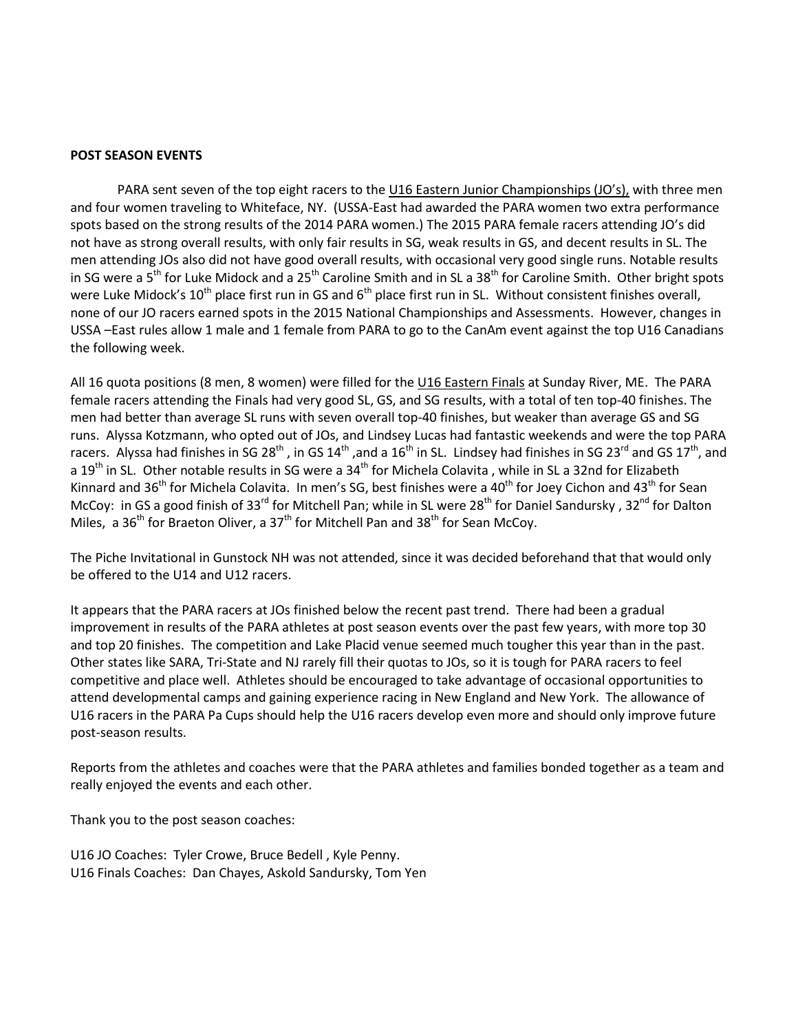## **POST SEASON EVENTS**

PARA sent seven of the top eight racers to the U16 Eastern Junior Championships (JO's), with three men and four women traveling to Whiteface, NY. (USSA-East had awarded the PARA women two extra performance spots based on the strong results of the 2014 PARA women.) The 2015 PARA female racers attending JO's did not have as strong overall results, with only fair results in SG, weak results in GS, and decent results in SL. The men attending JOs also did not have good overall results, with occasional very good single runs. Notable results in SG were a 5<sup>th</sup> for Luke Midock and a 25<sup>th</sup> Caroline Smith and in SL a 38<sup>th</sup> for Caroline Smith. Other bright spots were Luke Midock's 10<sup>th</sup> place first run in GS and 6<sup>th</sup> place first run in SL. Without consistent finishes overall, none of our JO racers earned spots in the 2015 National Championships and Assessments. However, changes in USSA –East rules allow 1 male and 1 female from PARA to go to the CanAm event against the top U16 Canadians the following week.

All 16 quota positions (8 men, 8 women) were filled for the U16 Eastern Finals at Sunday River, ME. The PARA female racers attending the Finals had very good SL, GS, and SG results, with a total of ten top-40 finishes. The men had better than average SL runs with seven overall top-40 finishes, but weaker than average GS and SG runs. Alyssa Kotzmann, who opted out of JOs, and Lindsey Lucas had fantastic weekends and were the top PARA racers. Alyssa had finishes in SG 28<sup>th</sup> , in GS 14<sup>th</sup> ,and a 16<sup>th</sup> in SL. Lindsey had finishes in SG 23<sup>rd</sup> and GS 17<sup>th</sup>, and a 19<sup>th</sup> in SL. Other notable results in SG were a 34<sup>th</sup> for Michela Colavita , while in SL a 32nd for Elizabeth Kinnard and 36<sup>th</sup> for Michela Colavita. In men's SG, best finishes were a 40<sup>th</sup> for Joey Cichon and 43<sup>th</sup> for Sean McCoy: in GS a good finish of 33<sup>rd</sup> for Mitchell Pan; while in SL were 28<sup>th</sup> for Daniel Sandursky, 32<sup>nd</sup> for Dalton Miles, a 36<sup>th</sup> for Braeton Oliver, a 37<sup>th</sup> for Mitchell Pan and 38<sup>th</sup> for Sean McCoy.

The Piche Invitational in Gunstock NH was not attended, since it was decided beforehand that that would only be offered to the U14 and U12 racers.

It appears that the PARA racers at JOs finished below the recent past trend. There had been a gradual improvement in results of the PARA athletes at post season events over the past few years, with more top 30 and top 20 finishes. The competition and Lake Placid venue seemed much tougher this year than in the past. Other states like SARA, Tri-State and NJ rarely fill their quotas to JOs, so it is tough for PARA racers to feel competitive and place well. Athletes should be encouraged to take advantage of occasional opportunities to attend developmental camps and gaining experience racing in New England and New York. The allowance of U16 racers in the PARA Pa Cups should help the U16 racers develop even more and should only improve future post-season results.

Reports from the athletes and coaches were that the PARA athletes and families bonded together as a team and really enjoyed the events and each other.

Thank you to the post season coaches:

U16 JO Coaches: Tyler Crowe, Bruce Bedell , Kyle Penny. U16 Finals Coaches: Dan Chayes, Askold Sandursky, Tom Yen